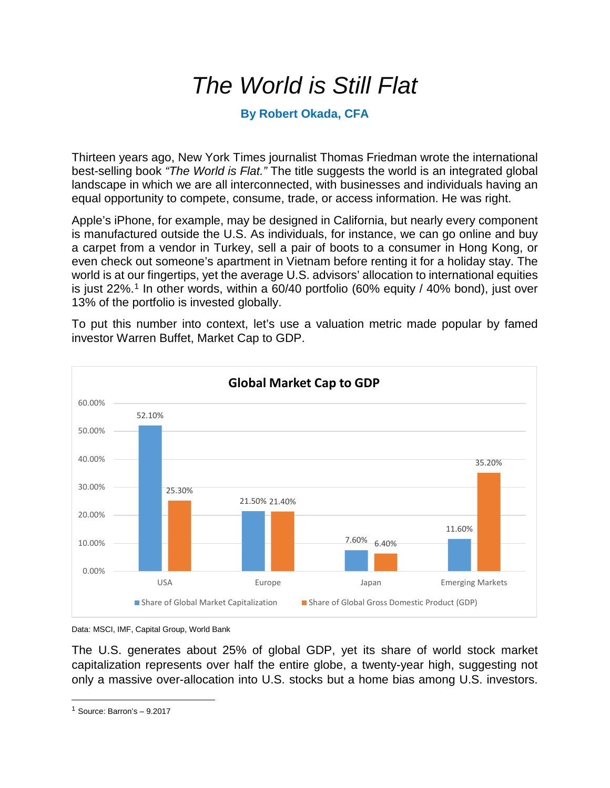## *The World is Still Flat*

## **By Robert Okada, CFA**

Thirteen years ago, New York Times journalist Thomas Friedman wrote the international best-selling book *"The World is Flat."* The title suggests the world is an integrated global landscape in which we are all interconnected, with businesses and individuals having an equal opportunity to compete, consume, trade, or access information. He was right.

Apple's iPhone, for example, may be designed in California, but nearly every component is manufactured outside the U.S. As individuals, for instance, we can go online and buy a carpet from a vendor in Turkey, sell a pair of boots to a consumer in Hong Kong, or even check out someone's apartment in Vietnam before renting it for a holiday stay. The world is at our fingertips, yet the average U.S. advisors' allocation to international equities is just 22%.<sup>[1](#page-0-0)</sup> In other words, within a 60/40 portfolio (60% equity / 40% bond), just over 13% of the portfolio is invested globally.

To put this number into context, let's use a valuation metric made popular by famed investor Warren Buffet, Market Cap to GDP.



Data: MSCI, IMF, Capital Group, World Bank

The U.S. generates about 25% of global GDP, yet its share of world stock market capitalization represents over half the entire globe, a twenty-year high, suggesting not only a massive over-allocation into U.S. stocks but a home bias among U.S. investors.

<span id="page-0-0"></span><sup>1</sup> Source: Barron's – 9.2017  $\overline{a}$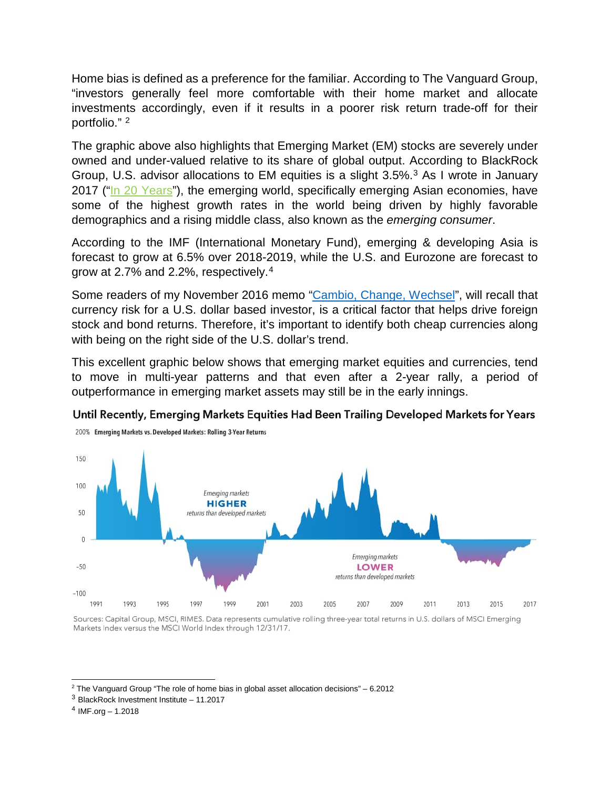Home bias is defined as a preference for the familiar. According to The Vanguard Group, "investors generally feel more comfortable with their home market and allocate investments accordingly, even if it results in a poorer risk return trade-off for their portfolio." [2](#page-1-0)

The graphic above also highlights that Emerging Market (EM) stocks are severely under owned and under-valued relative to its share of global output. According to BlackRock Group, U.S. advisor allocations to EM equities is a slight 3.5%.[3](#page-1-1) As I wrote in January 2017 (["In 20 Years"](http://johnsonbixby.com/in-20-years/)), the emerging world, specifically emerging Asian economies, have some of the highest growth rates in the world being driven by highly favorable demographics and a rising middle class, also known as the *emerging consumer*.

According to the IMF (International Monetary Fund), emerging & developing Asia is forecast to grow at 6.5% over 2018-2019, while the U.S. and Eurozone are forecast to grow at 2.7% and 2.2%, respectively.[4](#page-1-2)

Some readers of my November 2016 memo ["Cambio, Change, Wechsel"](http://johnsonbixby.com/cambio-change-wechsel/), will recall that currency risk for a U.S. dollar based investor, is a critical factor that helps drive foreign stock and bond returns. Therefore, it's important to identify both cheap currencies along with being on the right side of the U.S. dollar's trend.

This excellent graphic below shows that emerging market equities and currencies, tend to move in multi-year patterns and that even after a 2-year rally, a period of outperformance in emerging market assets may still be in the early innings.





Sources: Capital Group, MSCI, RIMES. Data represents cumulative rolling three-year total returns in U.S. dollars of MSCI Emerging Markets Index versus the MSCI World Index through 12/31/17.

 $2$  The Vanguard Group "The role of home bias in global asset allocation decisions" – 6.2012  $\overline{a}$ 

<span id="page-1-1"></span><span id="page-1-0"></span><sup>3</sup> BlackRock Investment Institute – 11.2017

<span id="page-1-2"></span> $4$  IMF.org – 1.2018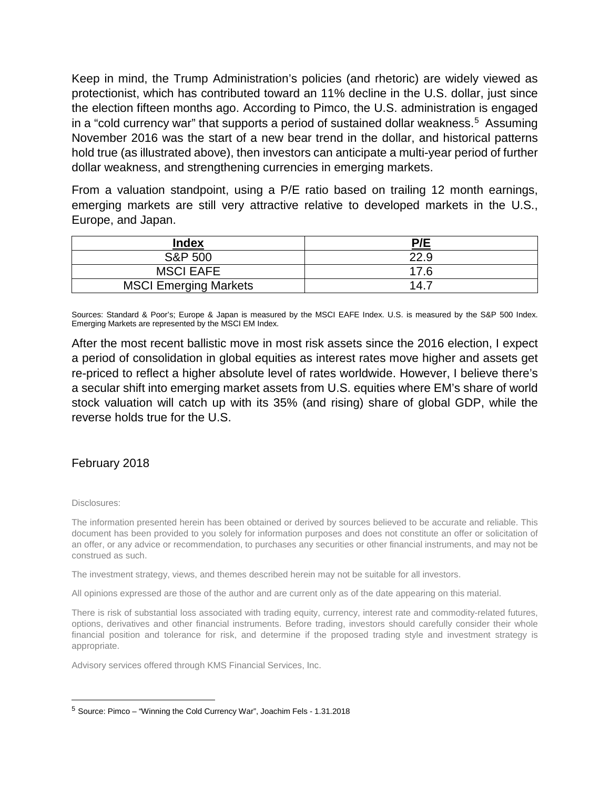Keep in mind, the Trump Administration's policies (and rhetoric) are widely viewed as protectionist, which has contributed toward an 11% decline in the U.S. dollar, just since the election fifteen months ago. According to Pimco, the U.S. administration is engaged in a "cold currency war" that supports a period of sustained dollar weakness.<sup>5</sup> Assuming November 2016 was the start of a new bear trend in the dollar, and historical patterns hold true (as illustrated above), then investors can anticipate a multi-year period of further dollar weakness, and strengthening currencies in emerging markets.

From a valuation standpoint, using a P/E ratio based on trailing 12 month earnings, emerging markets are still very attractive relative to developed markets in the U.S., Europe, and Japan.

| <b>Index</b>                 | P/E  |
|------------------------------|------|
| <b>S&amp;P 500</b>           | 22.9 |
| <b>MSCI EAFE</b>             | 17.6 |
| <b>MSCI Emerging Markets</b> | 14.7 |

Sources: Standard & Poor's; Europe & Japan is measured by the MSCI EAFE Index. U.S. is measured by the S&P 500 Index. Emerging Markets are represented by the MSCI EM Index.

After the most recent ballistic move in most risk assets since the 2016 election, I expect a period of consolidation in global equities as interest rates move higher and assets get re-priced to reflect a higher absolute level of rates worldwide. However, I believe there's a secular shift into emerging market assets from U.S. equities where EM's share of world stock valuation will catch up with its 35% (and rising) share of global GDP, while the reverse holds true for the U.S.

## February 2018

Disclosures:

 $\overline{a}$ 

The information presented herein has been obtained or derived by sources believed to be accurate and reliable. This document has been provided to you solely for information purposes and does not constitute an offer or solicitation of an offer, or any advice or recommendation, to purchases any securities or other financial instruments, and may not be construed as such.

The investment strategy, views, and themes described herein may not be suitable for all investors.

All opinions expressed are those of the author and are current only as of the date appearing on this material.

There is risk of substantial loss associated with trading equity, currency, interest rate and commodity-related futures, options, derivatives and other financial instruments. Before trading, investors should carefully consider their whole financial position and tolerance for risk, and determine if the proposed trading style and investment strategy is appropriate.

Advisory services offered through KMS Financial Services, Inc.

<span id="page-2-0"></span><sup>5</sup> Source: Pimco – "Winning the Cold Currency War", Joachim Fels - 1.31.2018